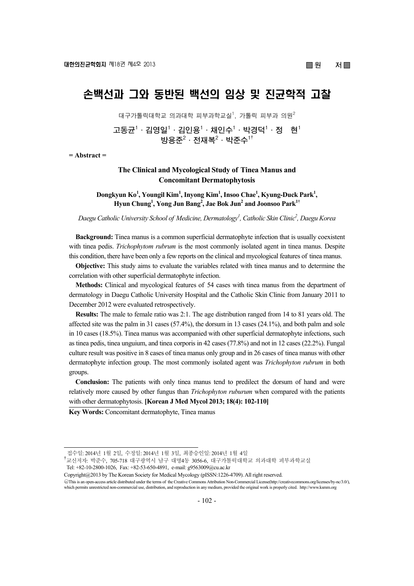# 손백선과 그와 동반된 백선의 임상 및 진균학적 고찰

대구가톨릭대학교 의과대학 피부과학교실 $^1$ , 가톨릭 피부과 의원 $^2$ 

**고동균1 ·김영일1 ·김인용1 ·채인수1 ·박경덕1 ·정 현1**   $\mathbf{B}$ 용준 $^2 \cdot \mathbf{M}$ 복 $^2 \cdot \mathbf{H}$ 준수 $^{1\dagger}$ 

**= Abstract =** 

## **The Clinical and Mycological Study of Tinea Manus and Concomitant Dermatophytosis**

Dongkyun Ko<sup>1</sup>, Youngil Kim<sup>1</sup>, Inyong Kim<sup>1</sup>, Insoo Chae<sup>1</sup>, Kyung-Duck Park<sup>1</sup>, **Hyun Chung1 , Yong Jun Bang2 , Jae Bok Jun2 and Joonsoo Park1†**

*Daegu Catholic University School of Medicine, Dermatology1 , Catholic Skin Clinic2 , Daegu Korea* 

**Background:** Tinea manus is a common superficial dermatophyte infection that is usually coexistent with tinea pedis. *Trichophytom rubrum* is the most commonly isolated agent in tinea manus. Despite this condition, there have been only a few reports on the clinical and mycological features of tinea manus.

**Objective:** This study aims to evaluate the variables related with tinea manus and to determine the correlation with other superficial dermatophyte infection.

**Methods:** Clinical and mycological features of 54 cases with tinea manus from the department of dermatology in Daegu Catholic University Hospital and the Catholic Skin Clinic from January 2011 to December 2012 were evaluated retrospectively.

**Results:** The male to female ratio was 2:1. The age distribution ranged from 14 to 81 years old. The affected site was the palm in 31 cases (57.4%), the dorsum in 13 cases (24.1%), and both palm and sole in 10 cases (18.5%). Tinea manus was accompanied with other superficial dermatophyte infections, such as tinea pedis, tinea unguium, and tinea corporis in 42 cases (77.8%) and not in 12 cases (22.2%). Fungal culture result was positive in 8 cases of tinea manus only group and in 26 cases of tinea manus with other dermatophyte infection group. The most commonly isolated agent was *Trichophyton rubrum* in both groups.

**Conclusion:** The patients with only tinea manus tend to predilect the dorsum of hand and were relatively more caused by other fungus than *Trichophyton ruburum* when compared with the patients with other dermatophytosis. **[Korean J Med Mycol 2013; 18(4): 102-110]**

**Key Words:** Concomitant dermatophyte, Tinea manus

접수일: 2014년 1월 2일, 수정일: 2014년 1월 3일, 최종승인일: 2014년 1월 4일

<sup>.&</sup>lt;br><sup>†</sup>교신저자: 박준수, 705-718 대구광역시 남구 대명4동 3056-6, 대구가톨릭대학교 의과대학 피부과학교실 Tel: +82-10-2800-1026, Fax: +82-53-650-4891, e-mail: g9563009@cu.ac.kr

Copyright@2013 by The Korean Society for Medical Mycology (pISSN:1226-4709). All right reserved. ○cc This is an open-access article distributed under the terms of the Creative Commons Attribution Non-Commercial License(http://creativecommons.org/licenses/by-nc/3.0/),

which permits unrestricted non-commercial use, distribution, and reproduction in any medium, provided the original work is properly cited. http://www.ksmm.org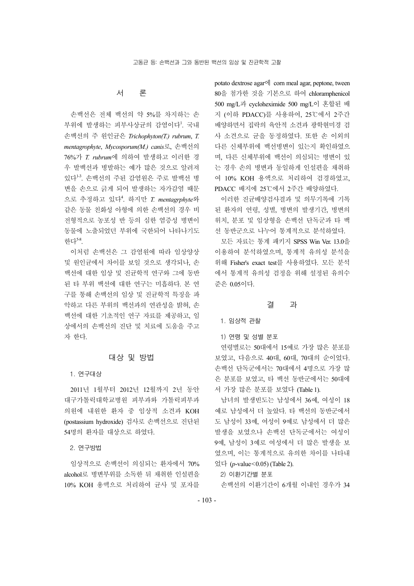# 서 론

손백선은 전체 백선의 약 5%를 차지하는 손 부위에 발생하는 피부사상균의 감염이다<sup>1</sup>. 국내 손백선의 주 원인균은 *Trichophyton(T.) rubrum*, *T. mentagrophyte*, *Mycosporum(M.) canis*로, 손백선의 76%가 *T. rubrum*에 의하여 발생하고 이러한 경 우 발백선과 병발하는 예가 많은 것으로 알려져 있다<sup>13</sup>. 손백선의 주된 감염원은 주로 발백선 병 변을 손으로 긁게 되어 발생하는 자가감염 때문 으로 추정하고 있다<sup>4</sup> . 하지만 *T. mentagrphyte*와 같은 동물 친화성 아형에 의한 손백선의 경우 비 전형적으로 농포성 반 등의 심한 염증성 병변이 동물에 노출되었던 부위에 국한되어 나타나기도 한다5-8.

이처럼 손백선은 그 감염원에 따라 임상양상 및 원인균에서 차이를 보일 것으로 생각되나, 손 백선에 대한 임상 및 진균학적 연구와 그에 동반 된 타 부위 백선에 대한 연구는 미흡하다. 본 연 구를 통해 손백선의 임상 및 진균학적 특징을 파 악하고 다른 부위의 백선과의 연관성을 밝혀, 손 백선에 대한 기초적인 연구 자료를 제공하고, 임 상에서의 손백선의 진단 및 치료에 도움을 주고 자 한다.

## 대상 및 방법

#### 1. 연구대상

2011년 1월부터 2012년 12월까지 2년 동안 대구가톨릭대학교병원 피부과와 가톨릭피부과 의원에 내원한 환자 중 임상적 소견과 KOH (postassium hydroxide) 검사로 손백선으로 진단된 54명의 환자를 대상으로 하였다.

2. 연구방법

임상적으로 손백선이 의심되는 환자에서 70% alcohol로 병변부위를 소독한 뒤 채취한 인설편을 10% KOH 용액으로 처리하여 균사 및 포자를

potato dextrose agar에 corn meal agar, peptone, tween 80을 첨가한 것을 기본으로 하여 chloramphenicol 500 mg/L과 cycloheximide 500 mg/L이 혼합된 배 지 (이하 PDACC)를 사용하여, 25℃에서 2주간 배양하면서 집락의 육안적 소견과 광학현미경 검 사 소견으로 균을 동정하였다. 또한 손 이외의 다른 신체부위에 백선병변이 있는지 확인하였으 며, 다른 신체부위에 백선이 의심되는 병변이 있 는 경우 손의 병변과 동일하게 인설편을 채취하 여 10% KOH 용액으로 처리하여 검경하였고, PDACC 배지에 25℃에서 2주간 배양하였다.

이러한 진균배양검사결과 및 의무기록에 기록 된 환자의 연령, 성별, 병변의 발생기간, 병변의 위치, 분포 및 임상형을 손백선 단독군과 타 백 선 동반군으로 나누어 통계적으로 분석하였다.

모든 자료는 통계 패키지 SPSS Win Ver. 13.0을 이용하여 분석하였으며, 통계적 유의성 분석을 위해 Fisher's exact test를 사용하였다. 모든 분석 에서 통계적 유의성 검정을 위해 설정된 유의수 준은 0.05이다.

### 결 과

#### 1. 임상적 관찰

1) 연령 및 성별 분포

연령별로는 50대에서 15예로 가장 많은 분포를 보였고, 다음으로 40대, 60대, 70대의 순이었다. 손백선 단독군에서는 70대에서 4명으로 가장 많 은 분포를 보였고, 타 백선 동반군에서는 50대에 서 가장 많은 분포를 보였다 (Table 1).

남녀의 발생빈도는 남성에서 36예, 여성이 18 예로 남성에서 더 높았다. 타 백선의 동반군에서 도 남성이 33예, 여성이 9예로 남성에서 더 많은 발생을 보였으나 손백선 단독군에서는 여성이 9예, 남성이 3예로 여성에서 더 많은 발생을 보 였으며, 이는 통계적으로 유의한 차이를 나타내 었다 (*p*-value<0.05) (Table 2).

2) 이환기간별 분포

손백선의 이환기간이 6개월 이내인 경우가 34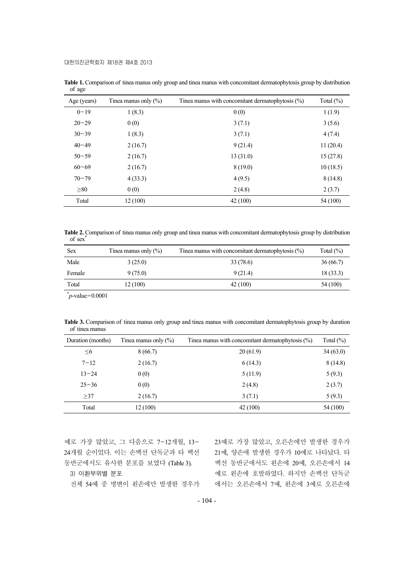| ັ           |                         |                                                     |               |
|-------------|-------------------------|-----------------------------------------------------|---------------|
| Age (years) | Tinea manus only $(\%)$ | Tinea manus with concomitant dermatophytosis $(\%)$ | Total $(\% )$ |
| $0 - 19$    | 1(8.3)                  | 0(0)                                                | 1(1.9)        |
| $20 - 29$   | 0(0)                    | 3(7.1)                                              | 3(5.6)        |
| $30 - 39$   | 1(8.3)                  | 3(7.1)                                              | 4(7.4)        |
| $40 - 49$   | 2(16.7)                 | 9(21.4)                                             | 11(20.4)      |
| $50 - 59$   | 2(16.7)                 | 13(31.0)                                            | 15(27.8)      |
| $60 - 69$   | 2(16.7)                 | 8(19.0)                                             | 10(18.5)      |
| $70 - 79$   | 4(33.3)                 | 4(9.5)                                              | 8(14.8)       |
| $\geq 80$   | 0(0)                    | 2(4.8)                                              | 2(3.7)        |
| Total       | 12(100)                 | 42(100)                                             | 54 (100)      |

**Table 1.** Comparison of tinea manus only group and tinea manus with concomitant dermatophytosis group by distribution of age

**Table 2.** Comparison of tinea manus only group and tinea manus with concomitant dermatophytosis group by distribution of sex<sup>\*</sup>

| <b>Sex</b>              | Tinea manus only $(\% )$ | Tinea manus with concomitant dermatophytosis $(\%)$ | Total $(\%)$ |
|-------------------------|--------------------------|-----------------------------------------------------|--------------|
| Male                    | 3(25.0)                  | 33 (78.6)                                           | 36(66.7)     |
| Female                  | 9(75.0)                  | 9(21.4)                                             | 18(33.3)     |
| Total                   | 12 (100)                 | 42(100)                                             | 54 (100)     |
| and the contract of the |                          |                                                     |              |

\* *p*-value=0.0001

**Table 3.** Comparison of tinea manus only group and tinea manus with concomitant dermatophytosis group by duration of tinea manus

| Duration (months) | Tinea manus only $(\%)$ | Tinea manus with concomitant dermatophytosis $(\%)$ | Total $(\%)$ |
|-------------------|-------------------------|-----------------------------------------------------|--------------|
| $\leq 6$          | 8(66.7)                 | 20(61.9)                                            | 34(63.0)     |
| $7 - 12$          | 2(16.7)                 | 6(14.3)                                             | 8(14.8)      |
| $13 - 24$         | 0(0)                    | 5(11.9)                                             | 5(9.3)       |
| $25 - 36$         | 0(0)                    | 2(4.8)                                              | 2(3.7)       |
| >37               | 2(16.7)                 | 3(7.1)                                              | 5(9.3)       |
| Total             | 12(100)                 | 42 (100)                                            | 54 (100)     |

예로 가장 많았고, 그 다음으로 7~12개월, 13~ 24개월 순이었다. 이는 손백선 단독군과 타 백선 동반군에서도 유사한 분포를 보였다 (Table 3). 3) 이환부위별 분포

전체 54예 중 병변이 왼손에만 발생한 경우가

23예로 가장 많았고, 오른손에만 발생한 경우가 21예, 양손에 발생한 경우가 10예로 나타났다. 타 백선 동반군에서도 왼손에 20예, 오른손에서 14 예로 왼손에 호발하였다. 하지만 손백선 단독군 에서는 오른손에서 7예, 왼손에 3예로 오른손에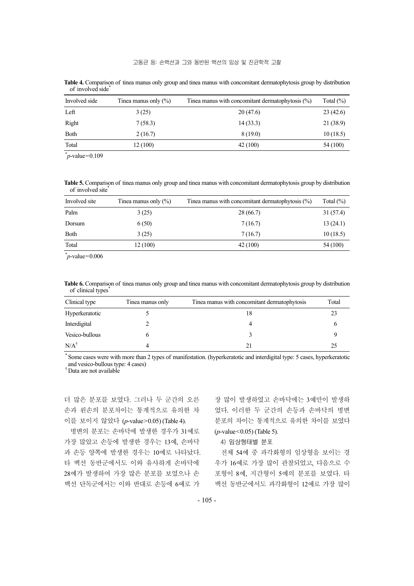| Involved side | Tinea manus only $(\% )$ | Tinea manus with concomitant dermatophytosis $(\%)$ | Total $(\%)$ |
|---------------|--------------------------|-----------------------------------------------------|--------------|
| Left          | 3(25)                    | 20(47.6)                                            | 23(42.6)     |
| Right         | 7(58.3)                  | 14(33.3)                                            | 21 (38.9)    |
| Both          | 2(16.7)                  | 8(19.0)                                             | 10(18.5)     |
| Total         | 12 (100)                 | 42(100)                                             | 54 (100)     |

**Table 4.** Comparison of tinea manus only group and tinea manus with concomitant dermatophytosis group by distribution of involved side

 $p$ -value=0.109

**Table 5.** Comparison of tinea manus only group and tinea manus with concomitant dermatophytosis group by distribution of involved site\*

| Involved site | Tinea manus only $(\% )$ | Tinea manus with concomitant dermatophytosis $(\%)$ | Total $(\% )$ |
|---------------|--------------------------|-----------------------------------------------------|---------------|
| Palm          | 3(25)                    | 28 (66.7)                                           | 31(57.4)      |
| Dorsum        | 6(50)                    | 7(16.7)                                             | 13(24.1)      |
| <b>Both</b>   | 3(25)                    | 7(16.7)                                             | 10(18.5)      |
| Total         | 12 (100)                 | 42 (100)                                            | 54 (100)      |

 $p$ -value=0.006

**Table 6.** Comparison of tinea manus only group and tinea manus with concomitant dermatophytosis group by distribution of clinical types<sup>\*</sup>

| Clinical type   | Tinea manus only | Tinea manus with concomitant dermatophytosis | Total |
|-----------------|------------------|----------------------------------------------|-------|
| Hyperkeratotic  |                  | 18                                           |       |
| Interdigital    |                  |                                              |       |
| Vesico-bullous  |                  |                                              |       |
| $N/A^{\dagger}$ |                  |                                              | 25    |

Some cases were with more than 2 types of manifestation. (hyperkeratotic and interdigital type: 5 cases, hyperkeratotic and vesico-bullous type: 4 cases)

† Data are not available

더 많은 분포를 보였다. 그러나 두 군간의 오른 손과 왼손의 분포차이는 통계적으로 유의한 차 이를 보이지 않았다 (*p*-value>0.05) (Table 4).

병변의 분포는 손바닥에 발생한 경우가 31예로 가장 많았고 손등에 발생한 경우는 13예, 손바닥 과 손등 양쪽에 발생한 경우는 10예로 나타났다. 타 백선 동반군에서도 이와 유사하게 손바닥에 28예가 발생하여 가장 많은 분포를 보였으나 손 백선 단독군에서는 이와 반대로 손등에 6예로 가

장 많이 발생하였고 손바닥에는 3예만이 발생하 였다. 이러한 두 군간의 손등과 손바닥의 병변 분포의 차이는 통계적으로 유의한 차이를 보였다 (*p*-value<0.05) (Table 5).

4) 임상형태별 분포

전체 54예 중 과각화형의 임상형을 보이는 경 우가 16예로 가장 많이 관찰되었고, 다음으로 수 포형이 8예, 지간형이 5예의 분포를 보였다. 타 백선 동반군에서도 과각화형이 12예로 가장 많이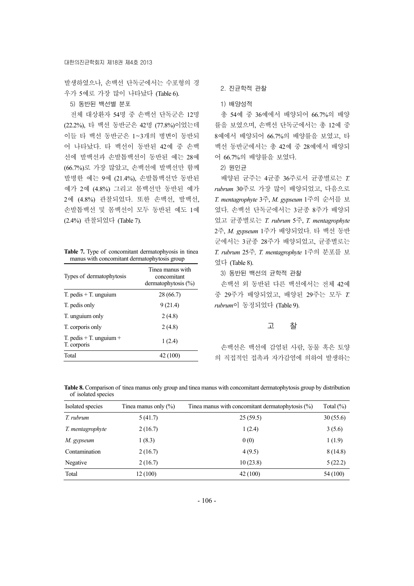발생하였으나, 손백선 단독군에서는 수포형의 경 우가 5예로 가장 많이 나타났다 (Table 6).

5) 동반된 백선별 분포

전체 대상환자 54명 중 손백선 단독군은 12명 (22.2%), 타 백선 동반군은 42명 (77.8%)이었는데 이들 타 백선 동반군은 1~3개의 병변이 동반되 어 나타났다. 타 백선이 동반된 42예 중 손백 선에 발백선과 손발톱백선이 동반된 예는 28예 (66.7%)로 가장 많았고, 손백선에 발백선만 함께 발병한 예는 9예 (21.4%), 손발톱백선만 동반된 예가 2예 (4.8%) 그리고 몸백선만 동반된 예가 2예 (4.8%) 관찰되었다. 또한 손백선, 발백선, 손발톱백선 및 몸백선이 모두 동반된 예도 1예 (2.4%) 관찰되었다 (Table 7).

**Table 7.** Type of concomitant dermatophyosis in tinea manus with concomitant dermatophytosis group

| Types of dermatophytosis                   | Tinea manus with<br>concomitant<br>dermatophytosis $(\% )$ |
|--------------------------------------------|------------------------------------------------------------|
| $T.$ pedis $+T.$ unguium                   | 28 (66.7)                                                  |
| T. pedis only                              | 9(21.4)                                                    |
| T. unguium only                            | 2(4.8)                                                     |
| T. corporis only                           | 2(4.8)                                                     |
| T. pedis $+$ T. unguium $+$<br>T. corporis | 1(2.4)                                                     |
| Total                                      | 42 (100)                                                   |

2. 진균학적 관찰

1) 배양성적

총 54예 중 36예에서 배양되어 66.7%의 배양 률을 보였으며, 손백선 단독군에서는 총 12예 중 8예에서 배양되어 66.7%의 배양률을 보였고, 타 백선 동반군에서는 총 42예 중 28예에서 배양되 어 66.7%의 배양률을 보였다.

2) 원인균

배양된 균주는 4균종 36주로서 균종별로는 *T. rubrum* 30주로 가장 많이 배양되었고, 다음으로 *T. mentagrophyte* 3주, *M. gypseum* 1주의 순서를 보 였다. 손백선 단독군에서는 3균종 8주가 배양되 었고 균종별로는 *T. rubrum* 5주, *T. mentagrophyte* 2주, *M. gypseum* 1주가 배양되었다. 타 백선 동반 군에서는 3균종 28주가 배양되었고, 균종별로는 *T. rubrum* 25주*, T. mentagrophyte* 1주의 분포를 보 였다 (Table 8).

3) 동반된 백선의 균학적 관찰

손백선 외 동반된 다른 백선에서는 전체 42예 중 29주가 배양되었고, 배양된 29주는 모두 *T. rubrum*이 동정되었다 (Table 9).

## 고 찰

손백선은 백선에 감염된 사람, 동물 혹은 토양 의 직접적인 접촉과 자가감염에 의하여 발생하는

| Table 8. Comparison of tinea manus only group and tinea manus with concomitant dermatophytosis group by distribution |  |  |  |  |
|----------------------------------------------------------------------------------------------------------------------|--|--|--|--|
| of isolated species                                                                                                  |  |  |  |  |

| Isolated species | Tinea manus with concomitant dermatophytosis $(\%)$<br>Tinea manus only $(\%)$ |          | Total $(\%)$ |  |  |
|------------------|--------------------------------------------------------------------------------|----------|--------------|--|--|
| T. rubrum        | 5(41.7)                                                                        | 25(59.5) | 30(55.6)     |  |  |
| T. mentagrophyte | 2(16.7)                                                                        | 1(2.4)   | 3(5.6)       |  |  |
| M. gypseum       | 1(8.3)                                                                         | 0(0)     | 1(1.9)       |  |  |
| Contamination    | 2(16.7)                                                                        | 4(9.5)   | 8(14.8)      |  |  |
| Negative         | 2(16.7)                                                                        | 10(23.8) | 5(22.2)      |  |  |
| Total            | 12(100)                                                                        | 42 (100) | 54 (100)     |  |  |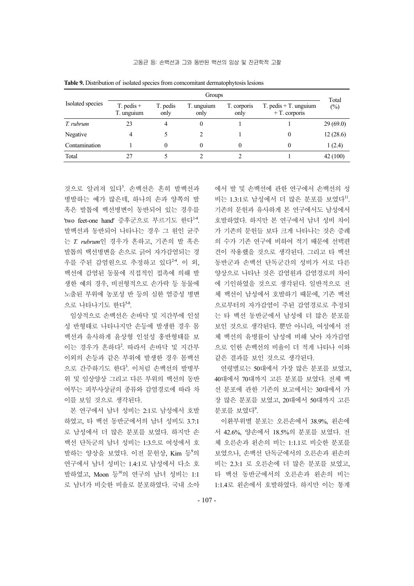|                  | Groups                       |                  |                    |                     |                                             |                 |
|------------------|------------------------------|------------------|--------------------|---------------------|---------------------------------------------|-----------------|
| Isolated species | $T.$ pedis $+$<br>T. unguium | T. pedis<br>only | T. unguium<br>only | T. corporis<br>only | $T.$ pedis $+T.$ unguium<br>$+T$ . corporis | Total<br>$(\%)$ |
| T. rubrum        | 23                           | 4                | 0                  |                     |                                             | 29(69.0)        |
| Negative         |                              |                  |                    |                     |                                             | 12(28.6)        |
| Contamination    |                              | 0                | 0                  | 0                   |                                             | 1(2.4)          |
| Total            | 27                           |                  |                    |                     |                                             | 42 (100)        |

**Table 9.** Distribution of isolated species from comcomitant dermatophytosis lesions

것으로 알려져 있다<sup>3</sup>. 손백선은 흔히 발백선과 병발하는 예가 많은데, 하나의 손과 양쪽의 발 혹은 발톱에 백선병변이 동반되어 있는 경우를 'two feet-one hand' 증후군으로 부르기도 한다<sup>14</sup>. 발백선과 동반되어 나타나는 경우 그 원인 균주 는 *T. rubrum*인 경우가 흔하고, 기존의 발 혹은 발톱의 백선병변을 손으로 긁어 자가감염되는 경 우를 주된 감염원으로 추정하고 있다<sup>24</sup>. 이 외, 백선에 감염된 동물에 직접적인 접촉에 의해 발 생한 예의 경우, 비전형적으로 손가락 등 동물에 노출된 부위에 농포성 반 등의 심한 염증성 병변 으로 나타나기도 한다5-8.

임상적으로 손백선은 손바닥 및 지간부에 인설 성 반형태로 나타나지만 손등에 발생한 경우 몸 백선과 유사하게 윤상형 인설성 홍반형태를 보 이는 경우가 흔하다<sup>2</sup>. 따라서 손바닥 및 지간부 이외의 손등과 같은 부위에 발생한 경우 몸백선 으로 간주하기도 한다<sup>3</sup>. 이처럼 손백선의 발병부 위 및 임상양상 그리고 다른 부위의 백선의 동반 여부는 피부사상균의 종류와 감염경로에 따라 차 이를 보일 것으로 생각된다.

본 연구에서 남녀 성비는 2:1로 남성에서 호발 하였고, 타 백선 동반군에서의 남녀 성비도 3.7:1 로 남성에서 더 많은 분포를 보였다. 하지만 손 백선 단독군의 남녀 성비는 1:3으로 여성에서 호 발하는 양상을 보였다. 이전 문헌상, Kim 등<sup>9</sup>의 연구에서 남녀 성비는 1.4:1로 남성에서 다소 호 발하였고, Moon 등<sup>10</sup>의 연구의 남녀 성비는 1:1 로 남녀가 비슷한 비율로 분포하였다. 국내 소아 에서 발 및 손백선에 관한 연구에서 손백선의 성 비는 1.3:1로 남성에서 더 많은 분포를 보였다". 기존의 문헌과 유사하게 본 연구에서도 남성에서 호발하였다. 하지만 본 연구에서 남녀 성비 차이 가 기존의 문헌들 보다 크게 나타나는 것은 증례 의 수가 기존 연구에 비하여 적기 때문에 선택편 견이 작용했을 것으로 생각된다. 그리고 타 백선 동반군과 손백선 단독군간의 성비가 서로 다른 양상으로 나타난 것은 감염원과 감염경로의 차이 에 기인하였을 것으로 생각된다. 일반적으로 전 체 백선이 남성에서 호발하기 때문에, 기존 백선 으로부터의 자가감염이 주된 감염경로로 추정되 는 타 백선 동반군에서 남성에 더 많은 분포를 보인 것으로 생각된다. 뿐만 아니라, 여성에서 전 체 백선의 유병률이 남성에 비해 낮아 자가감염 으로 인한 손백선의 비율이 더 적게 나타나 이와 같은 결과를 보인 것으로 생각된다.

연령별로는 50대에서 가장 많은 분포를 보였고, 40대에서 70대까지 고른 분포를 보였다. 전체 백 선 분포에 관한 기존의 보고에서는 30대에서 가 장 많은 분포를 보였고, 20대에서 50대까지 고른 분포를 보였다<sup>9</sup>.

이환부위별 분포는 오른손에서 38.9%, 왼손에 서 42.6%, 양손에서 18.5%의 분포를 보였다. 전 체 오른손과 왼손의 비는 1:1.1로 비슷한 분포를 보였으나, 손백선 단독군에서의 오른손과 왼손의 비는 2.3:1 로 오른손에 더 많은 분포를 보였고, 타 백선 동반군에서의 오른손과 왼손의 비는 1:1.4로 왼손에서 호발하였다. 하지만 이는 통계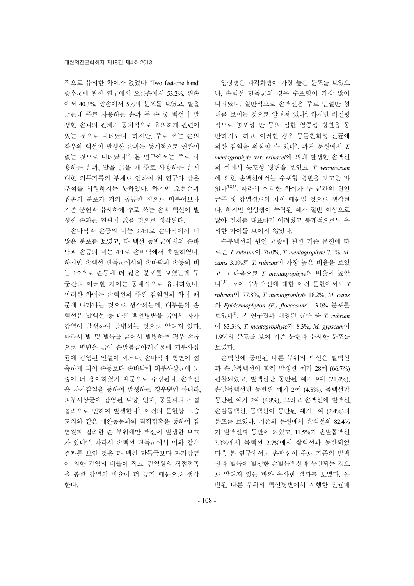적으로 유의한 차이가 없었다. 'Two feet-one hand' 증후군에 관한 연구에서 오른손에서 53.2%, 왼손 에서 40.3%, 양손에서 5%의 분포를 보였고, 발을 긁는데 주로 사용하는 손과 두 손 중 백선이 발 생한 손과의 관계가 통계적으로 유의하게 관련이 있는 것으로 나타났다. 하지만, 주로 쓰는 손의 좌우와 백선이 발생한 손과는 통계적으로 연관이 없는 것으로 나타났다<sup>12</sup>. 본 연구에서는 주로 사 용하는 손과, 발을 긁을 때 주로 사용하는 손에 대한 의무기록의 부재로 인하여 위 연구와 같은 분석을 시행하지는 못하였다. 하지만 오른손과 왼손의 분포가 거의 동등한 점으로 미루어보아 기존 문헌과 유사하게 주로 쓰는 손과 백선이 발 생한 손과는 연관이 없을 것으로 생각된다.

손바닥과 손등의 비는 2.4:1로 손바닥에서 더 많은 분포를 보였고, 타 백선 동반군에서의 손바 닥과 손등의 비는 4:1로 손바닥에서 호발하였다. 하지만 손백선 단독군에서의 손바닥과 손등의 비 는 1:2으로 손등에 더 많은 분포를 보였는데 두 군간의 이러한 차이는 통계적으로 유의하였다. 이러한 차이는 손백선의 주된 감염원의 차이 때 문에 나타나는 것으로 생각되는데, 대부분의 손 백선은 발백선 등 다른 백선병변을 긁어서 자가 감염이 발생하여 발병되는 것으로 알려져 있다. 따라서 발 및 발톱을 긁어서 발병하는 경우 손톱 으로 병변을 긁어 손발톱끝아래허물에 피부사상 균에 감염된 인설이 끼거나, 손바닥과 병변이 접 촉하게 되어 손등보다 손바닥에 피부사상균에 노 출이 더 용이하였기 때문으로 추정된다. 손백선 은 자가감염을 통하여 발생하는 경우뿐만 아니라, 피부사상균에 감염된 토양, 인체, 동물과의 직접 접촉으로 인하여 발생한다<sup>3</sup>. 이전의 문헌상 고슴 도치와 같은 애완동물과의 직접접촉을 통하여 감 염원과 접촉한 손 부위에만 백선이 발생한 보고 가 있다5-8. 따라서 손백선 단독군에서 이와 같은 결과를 보인 것은 타 백선 단독군보다 자가감염 에 의한 감염의 비율이 적고, 감염원의 직접접촉 을 통한 감염의 비율이 더 높기 때문으로 생각 한다.

임상형은 과각화형이 가장 높은 분포를 보였으 나, 손백선 단독군의 경우 수포형이 가장 많이 나타났다. 일반적으로 손백선은 주로 인설반 형 태를 보이는 것으로 알려져 있다<sup>2</sup>. 하지만 비전형 적으로 농포성 반 등의 심한 염증성 병변을 동 반하기도 하고, 이러한 경우 동물친화성 진균에 의한 감염을 의심할 수 있다<sup>8</sup> . 과거 문헌에서 *T. mentagrophyte* var. *erinacei*에 의해 발생한 손백선 의 예에서 농포성 병변을 보였고, *T. verrucosum* 에 의한 손백선에서는 수포형 병변을 보고한 바 있다5-8,13. 따라서 이러한 차이가 두 군간의 원인 균주 및 감염경로의 차이 때문일 것으로 생각된 다. 하지만 임상형이 누락된 예가 절반 이상으로 많아 전제를 대표하기 어려웠고 통계적으로도 유 의한 차이를 보이지 않았다.

수부백선의 원인 균종에 관한 기존 문헌에 따 르면 *T. rubrum*이 76.0%, *T. mentagrophyte* 7.0%, *M. canis* 3.0%로 *T. rubrum*이 가장 높은 비율을 보였 고 그 다음으로 *T. mentagrophyte*의 비율이 높았 다1,10. 소아 수부백선에 대한 이전 문헌에서도 *T. rubrum*이 77.8%, *T. mentagrophyte* 18.2%, *M. canis* 와 *Epidermophyton (E.) floccosum*이 3.0% 분포를 보였다11. 본 연구결과 배양된 균주 중 *T. rubrum* 이 83.3%, *T. mentagrophyte*가 8.3%, *M. gypseum*이 1.9%의 분포를 보여 기존 문헌과 유사한 분포를 보였다.

손백선에 동반된 다른 부위의 백선은 발백선 과 손발톱백선이 함께 발생한 예가 28예 (66.7%) 관찰되었고, 발백선만 동반된 예가 9예 (21.4%), 손발톱백선만 동반된 예가 2예 (4.8%), 몸백선만 동반된 예가 2예 (4.8%), 그리고 손백선에 발백선, 손발톱백선, 몸백선이 동반된 예가 1예 (2.4%)의 분포를 보였다. 기존의 문헌에서 손백선의 82.4% 가 발백선과 동반이 되었고, 11.5%가 손발톱백선 3.3%에서 몸백선 2.7%에서 샅백선과 동반되었 다10. 본 연구에서도 손백선이 주로 기존의 발백 선과 발톱에 발생한 손발톱백선과 동반되는 것으 로 알려져 있는 바와 유사한 결과를 보였다. 동 반된 다른 부위의 백선병변에서 시행한 진균배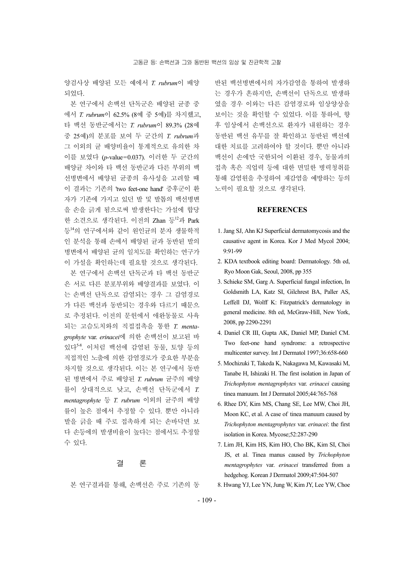양검사상 배양된 모든 예에서 *T. rubrum*이 배양 되었다.

본 연구에서 손백선 단독군은 배양된 균종 중 에서 *T. rubrum*이 62.5% (8예 중 5예)를 차지했고, 타 백선 동반군에서는 *T. rubrum*이 89.3% (28예 중 25예)의 분포를 보여 두 군간의 *T. rubrum*과 그 이외의 균 배양비율이 통계적으로 유의한 차 이를 보였다 (*p*-value=0.037). 이러한 두 군간의 배양균 차이와 타 백선 동반군과 다른 부위의 백 선병변에서 배양된 균종의 유사성을 고려할 때 이 결과는 기존의 'two feet-one hand' 증후군이 환 자가 기존에 가지고 있던 발 및 발톱의 백선병변 을 손을 긁게 됨으로써 발생한다는 가설에 합당 한 소견으로 생각된다. 이전의 Zhan 등 $^{12}$ 과 Park 등<sup>14</sup>의 연구에서와 같이 원인균의 분자 생물학적 인 분석을 통해 손에서 배양된 균과 동반된 발의 병변에서 배양된 균의 일치도를 확인하는 연구가 이 가설을 확인하는데 필요할 것으로 생각된다.

본 연구에서 손백선 단독군과 타 백선 동반군 은 서로 다른 분포부위와 배양결과를 보였다. 이 는 손백선 단독으로 감염되는 경우 그 감염경로 가 다른 백선과 동반되는 경우와 다르기 때문으 로 추정된다. 이전의 문헌에서 애완동물로 사육 되는 고슴도치와의 직접접촉을 통한 *T. mentagrophyte* var. *erinacei*에 의한 손백선이 보고된 바 있다5-8. 이처럼 백선에 감염된 동물, 토양 등의 직접적인 노출에 의한 감염경로가 중요한 부분을 차지할 것으로 생각된다. 이는 본 연구에서 동반 된 병변에서 주로 배양된 *T. rubrum* 균주의 배양 률이 상대적으로 낮고, 손백선 단독군에서 *T. mentagrophyte* 등 *T. rubrum* 이외의 균주의 배양 률이 높은 점에서 추정할 수 있다. 뿐만 아니라 발을 긁을 때 주로 접촉하게 되는 손바닥면 보 다 손등에의 발생비율이 높다는 점에서도 추정할 수 있다.

## 결 론

본 연구결과를 통해, 손백선은 주로 기존의 동

반된 백선병변에서의 자가감염을 통하여 발생하 는 경우가 흔하지만, 손백선이 단독으로 발생하 였을 경우 이와는 다른 감염경로와 임상양상을 보이는 것을 확인할 수 있었다. 이를 통하여, 향 후 임상에서 손백선으로 환자가 내원하는 경우 동반된 백선 유무를 잘 확인하고 동반된 백선에 대한 치료를 고려하여야 할 것이다. 뿐만 아니라 백선이 손에만 국한되어 이환된 경우, 동물과의 접촉 혹은 직업력 등에 대한 면밀한 병력청취를 통해 감염원을 추정하여 재감염을 예방하는 등의 노력이 필요할 것으로 생각된다.

## **REFERENCES**

- 1. Jang SJ, Ahn KJ Superficial dermatomycosis and the causative agent in Korea. Kor J Med Mycol 2004; 9:91-99
- 2. KDA textbook editing board: Dermatology. 5th ed, Ryo Moon Gak, Seoul, 2008, pp 355
- 3. Schieke SM, Garg A. Superficial fungal infection, In Goldsmith LA, Katz SI, Gilchrest BA, Paller AS, Leffell DJ, Wolff K: Fitzpatrick's dermatology in general medicine. 8th ed, McGraw-Hill, New York, 2008, pp 2290-2291
- 4. Daniel CR III, Gupta AK, Daniel MP, Daniel CM. Two feet-one hand syndrome: a retrospective multicenter survey. Int J Dermatol 1997;36:658-660
- 5. Mochizuki T, Takeda K, Nakagawa M, Kawasaki M, Tanabe H, Ishizaki H. The first isolation in Japan of *Trichophyton mentagrophytes* var. *erinacei* causing tinea manuum. Int J Dermatol 2005;44:765-768
- 6. Rhee DY, Kim MS, Chang SE, Lee MW, Choi JH, Moon KC, et al. A case of tinea manuum caused by *Trichophyton mentagrophytes* var. *erinacei*: the first isolation in Korea. Mycose;52:287-290
- 7. Lim JH, Kim HS, Kim HO, Cho BK, Kim SI, Choi JS, et al. Tinea manus caused by *Trichophyton mentagrophytes* var. *erinacei* transferred from a hedgehog. Korean J Dermatol 2009;47:504-507
- 8. Hwang YJ, Lee YN, Jung W, Kim JY, Lee YW, Choe